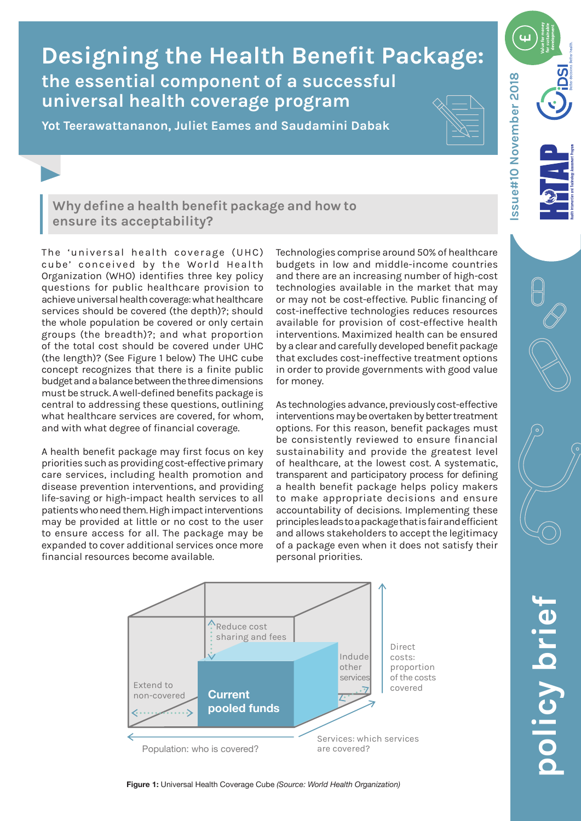# **the essential component of a successful universal health coverage program Designing the Health Benefit Package:**

**Yot Teerawattananon, Juliet Eames and Saudamini Dabak**



ssue#10 November 2018 **Issue#10 November 2018**

# **Why define a health benefit package and how to ensure its acceptability?**

The 'universal health coverage (UHC) cube' conceived by the World Health Organization (WHO) identifies three key policy questions for public healthcare provision to achieve universal health coverage: what healthcare services should be covered (the depth)?; should the whole population be covered or only certain groups (the breadth)?; and what proportion of the total cost should be covered under UHC (the length)? (See Figure 1 below) The UHC cube concept recognizes that there is a finite public budget and a balance between the three dimensions must be struck. A well-defined benefits package is central to addressing these questions, outlining what healthcare services are covered, for whom, and with what degree of financial coverage.

A health benefit package may first focus on key priorities such as providing cost-effective primary care services, including health promotion and disease prevention interventions, and providing life-saving or high-impact health services to all patients who need them. High impact interventions may be provided at little or no cost to the user to ensure access for all. The package may be expanded to cover additional services once more financial resources become available.

Technologies comprise around 50% of healthcare budgets in low and middle-income countries and there are an increasing number of high-cost technologies available in the market that may or may not be cost-effective. Public financing of cost-ineffective technologies reduces resources available for provision of cost-effective health interventions. Maximized health can be ensured by a clear and carefully developed benefit package that excludes cost-ineffective treatment options in order to provide governments with good value for money.

As technologies advance, previously cost-effective interventions may be overtaken by better treatment options. For this reason, benefit packages must be consistently reviewed to ensure financial sustainability and provide the greatest level of healthcare, at the lowest cost. A systematic, transparent and participatory process for defining a health benefit package helps policy makers to make appropriate decisions and ensure accountability of decisions. Implementing these principles leads to a package that is fair and efficient and allows stakeholders to accept the legitimacy of a package even when it does not satisfy their personal priorities.



#### **Figure 1:** Universal Health Coverage Cube *(Source: World Health Organization)*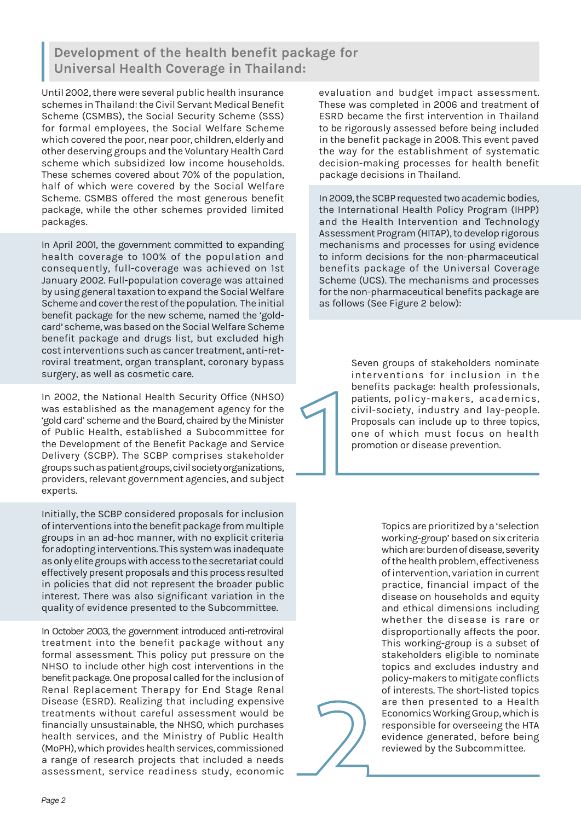# **Development of the health benefit package for Universal Health Coverage in Thailand:**

Until 2002, there were several public health insurance schemes in Thailand: the Civil Servant Medical Benefit Scheme (CSMBS), the Social Security Scheme (SSS) for formal employees, the Social Welfare Scheme which covered the poor, near poor, children, elderly and other deserving groups and the Voluntary Health Card scheme which subsidized low income households. These schemes covered about 70% of the population, half of which were covered by the Social Welfare Scheme. CSMBS offered the most generous benefit package, while the other schemes provided limited packages.

In April 2001, the government committed to expanding health coverage to 100% of the population and consequently, full-coverage was achieved on 1st January 2002. Full-population coverage was attained by using general taxation to expand the Social Welfare Scheme and cover the rest of the population. The initial benefit package for the new scheme, named the 'goldcard' scheme, was based on the Social Welfare Scheme benefit package and drugs list, but excluded high cost interventions such as cancer treatment, anti-retroviral treatment, organ transplant, coronary bypass surgery, as well as cosmetic care.

In 2002, the National Health Security Office (NHSO) was established as the management agency for the 'gold card' scheme and the Board, chaired by the Minister of Public Health, established a Subcommittee for the Development of the Benefit Package and Service Delivery (SCBP). The SCBP comprises stakeholder groups such as patient groups, civil society organizations, providers, relevant government agencies, and subject experts.

Initially, the SCBP considered proposals for inclusion of interventions into the benefit package from multiple groups in an ad-hoc manner, with no explicit criteria for adopting interventions. This system was inadequate as only elite groups with access to the secretariat could effectively present proposals and this process resulted in policies that did not represent the broader public interest. There was also significant variation in the quality of evidence presented to the Subcommittee.

In October 2003, the government introduced anti-retroviral treatment into the benefit package without any formal assessment. This policy put pressure on the NHSO to include other high cost interventions in the benefit package. One proposal called for the inclusion of Renal Replacement Therapy for End Stage Renal Disease (ESRD). Realizing that including expensive treatments without careful assessment would be financially unsustainable, the NHSO, which purchases health services, and the Ministry of Public Health (MoPH), which provides health services, commissioned a range of research projects that included a needs assessment, service readiness study, economic

evaluation and budget impact assessment. These was completed in 2006 and treatment of ESRD became the first intervention in Thailand to be rigorously assessed before being included in the benefit package in 2008. This event paved the way for the establishment of systematic decision-making processes for health benefit package decisions in Thailand.

In 2009, the SCBP requested two academic bodies, the International Health Policy Program (IHPP) and the Health Intervention and Technology Assessment Program (HITAP), to develop rigorous mechanisms and processes for using evidence to inform decisions for the non-pharmaceutical benefits package of the Universal Coverage Scheme (UCS). The mechanisms and processes for the non-pharmaceutical benefits package are as follows (See Figure 2 below):

> Seven groups of stakeholders nominate interventions for inclusion in the benefits package: health professionals, patients, policy-makers, academics, civil-society, industry and lay-people. Proposals can include up to three topics, one of which must focus on health promotion or disease prevention.

> > Topics are prioritized by a 'selection working-group' based on six criteria which are: burden of disease, severity of the health problem, effectiveness of intervention, variation in current practice, financial impact of the disease on households and equity and ethical dimensions including whether the disease is rare or disproportionally affects the poor. This working-group is a subset of stakeholders eligible to nominate topics and excludes industry and policy-makers to mitigate conflicts of interests. The short-listed topics are then presented to a Health Economics Working Group, which is responsible for overseeing the HTA evidence generated, before being reviewed by the Subcommittee.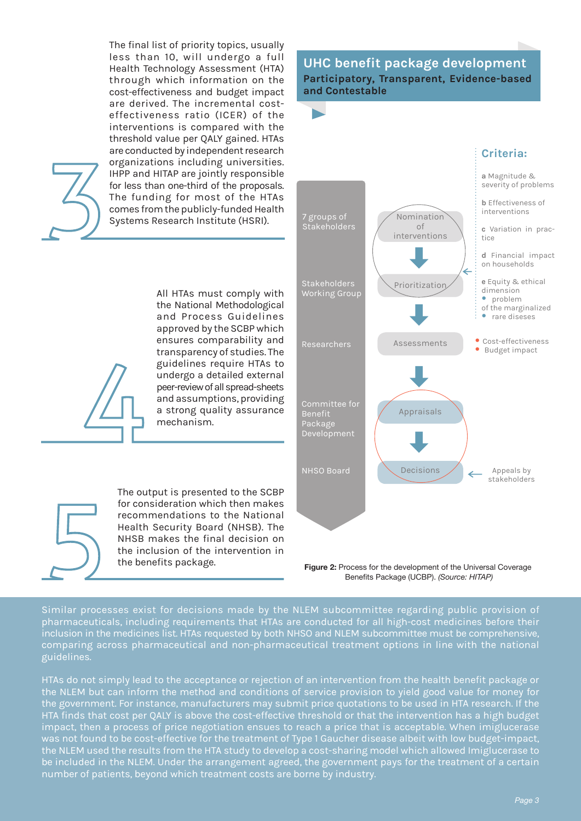The final list of priority topics, usually less than 10, will undergo a full Health Technology Assessment (HTA) through which information on the cost-effectiveness and budget impact are derived. The incremental costeffectiveness ratio (ICER) of the interventions is compared with the threshold value per QALY gained. HTAs are conducted by independent research organizations including universities. IHPP and HITAP are jointly responsible for less than one-third of the proposals. The funding for most of the HTAs comes from the publicly-funded Health Systems Research Institute (HSRI).



All HTAs must comply with the National Methodological and Process Guidelines approved by the SCBP which ensures comparability and transparency of studies. The guidelines require HTAs to undergo a detailed external peer-review of all spread-sheets and assumptions, providing a strong quality assurance mechanism.

The output is presented to the SCBP for consideration which then makes recommendations to the National Health Security Board (NHSB). The NHSB makes the final decision on the inclusion of the intervention in the benefits package.

## **UHC benefit package development Participatory, Transparent, Evidence-based and Contestable**



**Figure 2:** Process for the development of the Universal Coverage Benefits Package (UCBP). *(Source: HITAP)*

Similar processes exist for decisions made by the NLEM subcommittee regarding public provision of pharmaceuticals, including requirements that HTAs are conducted for all high-cost medicines before their inclusion in the medicines list. HTAs requested by both NHSO and NLEM subcommittee must be comprehensive, comparing across pharmaceutical and non-pharmaceutical treatment options in line with the national guidelines.

HTAs do not simply lead to the acceptance or rejection of an intervention from the health benefit package or the NLEM but can inform the method and conditions of service provision to yield good value for money for the government. For instance, manufacturers may submit price quotations to be used in HTA research. If the HTA finds that cost per QALY is above the cost-effective threshold or that the intervention has a high budget impact, then a process of price negotiation ensues to reach a price that is acceptable. When imiglucerase was not found to be cost-effective for the treatment of Type 1 Gaucher disease albeit with low budget-impact, the NLEM used the results from the HTA study to develop a cost-sharing model which allowed Imiglucerase to be included in the NLEM. Under the arrangement agreed, the government pays for the treatment of a certain number of patients, beyond which treatment costs are borne by industry.